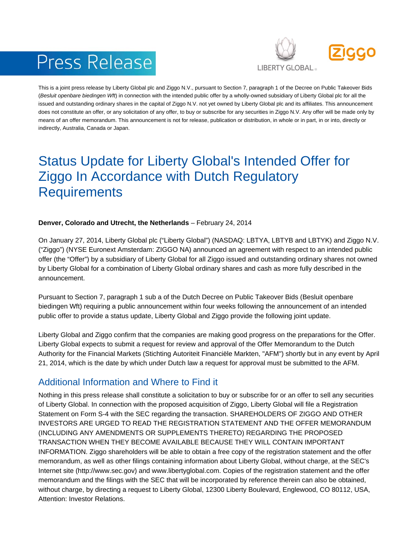# Press Release



This is a joint press release by Liberty Global plc and Ziggo N.V., pursuant to Section 7, paragraph 1 of the Decree on Public Takeover Bids (*Besluit openbare biedingen Wft*) in connection with the intended public offer by a wholly-owned subsidiary of Liberty Global plc for all the issued and outstanding ordinary shares in the capital of Ziggo N.V. not yet owned by Liberty Global plc and its affiliates. This announcement does not constitute an offer, or any solicitation of any offer, to buy or subscribe for any securities in Ziggo N.V. Any offer will be made only by means of an offer memorandum. This announcement is not for release, publication or distribution, in whole or in part, in or into, directly or indirectly, Australia, Canada or Japan.

## Status Update for Liberty Global's Intended Offer for Ziggo In Accordance with Dutch Regulatory **Requirements**

#### **Denver, Colorado and Utrecht, the Netherlands** – February 24, 2014

On January 27, 2014, Liberty Global plc ("Liberty Global") (NASDAQ: LBTYA, LBTYB and LBTYK) and Ziggo N.V. ("Ziggo") (NYSE Euronext Amsterdam: ZIGGO NA) announced an agreement with respect to an intended public offer (the "Offer") by a subsidiary of Liberty Global for all Ziggo issued and outstanding ordinary shares not owned by Liberty Global for a combination of Liberty Global ordinary shares and cash as more fully described in the announcement.

Pursuant to Section 7, paragraph 1 sub a of the Dutch Decree on Public Takeover Bids (Besluit openbare biedingen Wft) requiring a public announcement within four weeks following the announcement of an intended public offer to provide a status update, Liberty Global and Ziggo provide the following joint update.

Liberty Global and Ziggo confirm that the companies are making good progress on the preparations for the Offer. Liberty Global expects to submit a request for review and approval of the Offer Memorandum to the Dutch Authority for the Financial Markets (Stichting Autoriteit Financiële Markten, "AFM") shortly but in any event by April 21, 2014, which is the date by which under Dutch law a request for approval must be submitted to the AFM.

### Additional Information and Where to Find it

Nothing in this press release shall constitute a solicitation to buy or subscribe for or an offer to sell any securities of Liberty Global. In connection with the proposed acquisition of Ziggo, Liberty Global will file a Registration Statement on Form S-4 with the SEC regarding the transaction. SHAREHOLDERS OF ZIGGO AND OTHER INVESTORS ARE URGED TO READ THE REGISTRATION STATEMENT AND THE OFFER MEMORANDUM (INCLUDING ANY AMENDMENTS OR SUPPLEMENTS THERETO) REGARDING THE PROPOSED TRANSACTION WHEN THEY BECOME AVAILABLE BECAUSE THEY WILL CONTAIN IMPORTANT INFORMATION. Ziggo shareholders will be able to obtain a free copy of the registration statement and the offer memorandum, as well as other filings containing information about Liberty Global, without charge, at the SEC's Internet site (http://www.sec.gov) and www.libertyglobal.com. Copies of the registration statement and the offer memorandum and the filings with the SEC that will be incorporated by reference therein can also be obtained, without charge, by directing a request to Liberty Global, 12300 Liberty Boulevard, Englewood, CO 80112, USA, Attention: Investor Relations.